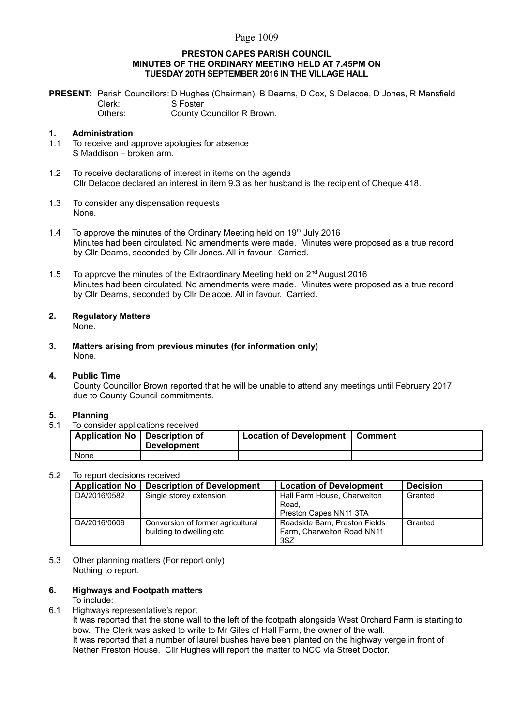### Page 1009

#### **PRESTON CAPES PARISH COUNCIL MINUTES OF THE ORDINARY MEETING HELD AT 7.45PM ON TUESDAY 20TH SEPTEMBER 2016 IN THE VILLAGE HALL**

**PRESENT:** Parish Councillors: D Hughes (Chairman), B Dearns, D Cox, S Delacoe, D Jones, R Mansfield Clerk: S Foster Others: County Councillor R Brown.

#### **1. Administration**

- 1.1 To receive and approve apologies for absence S Maddison – broken arm.
- 1.2 To receive declarations of interest in items on the agenda Cllr Delacoe declared an interest in item 9.3 as her husband is the recipient of Cheque 418.
- 1.3 To consider any dispensation requests None.
- 1.4 To approve the minutes of the Ordinary Meeting held on  $19<sup>th</sup>$  July 2016 Minutes had been circulated. No amendments were made. Minutes were proposed as a true record by Cllr Dearns, seconded by Cllr Jones. All in favour. Carried.
- 1.5 To approve the minutes of the Extraordinary Meeting held on  $2<sup>nd</sup>$  August 2016 Minutes had been circulated. No amendments were made. Minutes were proposed as a true record by Cllr Dearns, seconded by Cllr Delacoe. All in favour. Carried.

# **2. Regulatory Matters**

None.

**3. Matters arising from previous minutes (for information only)** None.

#### **4. Public Time**

County Councillor Brown reported that he will be unable to attend any meetings until February 2017 due to County Council commitments.

#### **5. Planning**

5.1 To consider applications received

| Application No   Description of | <b>Development</b> | Location of Development   Comment |  |
|---------------------------------|--------------------|-----------------------------------|--|
| None                            |                    |                                   |  |

#### 5.2 To report decisions received

| <b>Application No</b> | <b>Description of Development</b> | <b>Location of Development</b> | <b>Decision</b> |
|-----------------------|-----------------------------------|--------------------------------|-----------------|
| DA/2016/0582          | Single storey extension           | Hall Farm House, Charwelton    | Granted         |
|                       |                                   | Road.                          |                 |
|                       |                                   | Preston Capes NN11 3TA         |                 |
| DA/2016/0609          | Conversion of former agricultural | Roadside Barn, Preston Fields  | Granted         |
|                       | building to dwelling etc          | Farm, Charwelton Road NN11     |                 |
|                       |                                   | 3SZ                            |                 |

5.3 Other planning matters (For report only) Nothing to report.

### **6. Highways and Footpath matters**

#### To include:

6.1 Highways representative's report

It was reported that the stone wall to the left of the footpath alongside West Orchard Farm is starting to bow. The Clerk was asked to write to Mr Giles of Hall Farm, the owner of the wall. It was reported that a number of laurel bushes have been planted on the highway verge in front of Nether Preston House. Cllr Hughes will report the matter to NCC via Street Doctor.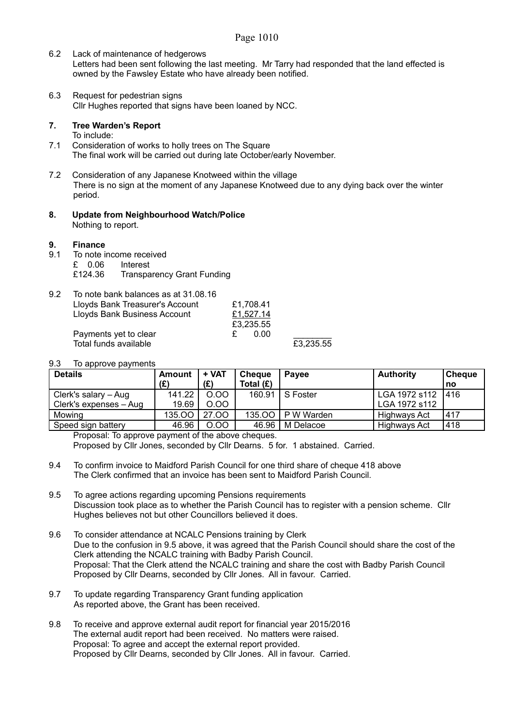### Page 1010

- 6.2 Lack of maintenance of hedgerows Letters had been sent following the last meeting. Mr Tarry had responded that the land effected is owned by the Fawsley Estate who have already been notified.
- 6.3 Request for pedestrian signs Cllr Hughes reported that signs have been loaned by NCC.

### **7. Tree Warden's Report**

To include:

- 7.1 Consideration of works to holly trees on The Square The final work will be carried out during late October/early November.
- 7.2 Consideration of any Japanese Knotweed within the village There is no sign at the moment of any Japanese Knotweed due to any dying back over the winter period.
- **8. Update from Neighbourhood Watch/Police** Nothing to report.

#### **9. Finance**

9.1 To note income received £ 0.06 Interest £124.36 Transparency Grant Funding

| 9.2 | To note bank balances as at 31.08.16 |    |           |           |
|-----|--------------------------------------|----|-----------|-----------|
|     | Lloyds Bank Treasurer's Account      |    | £1.708.41 |           |
|     | Lloyds Bank Business Account         |    | £1.527.14 |           |
|     |                                      |    | £3.235.55 |           |
|     | Payments yet to clear                | £. | 0.00      |           |
|     | Total funds available                |    |           | £3.235.55 |

### 9.3 To approve payments

| <b>Details</b>         | Amount | + VAT | <b>Cheque</b> | <b>Pavee</b> | <b>Authority</b> | <b>Cheque</b> |
|------------------------|--------|-------|---------------|--------------|------------------|---------------|
|                        | (E)    | (£)   | Total $(E)$   |              |                  | no            |
| Clerk's salary – Aug   | 141.22 | 0.00  | 160.91        | S Foster     | LGA 1972 s112    | 1416          |
| Clerk's expenses - Aug | 19.69  | 0.00  |               |              | LGA 1972 s112    |               |
| Mowina                 | 135.00 | 27.00 | 135.00        | P W Warden   | Highways Act     | .417          |
| Speed sign battery     | 46.96  | 0.00  | 46.96         | M Delacoe    | Highways Act     | 418           |

Proposal: To approve payment of the above cheques. Proposed by Cllr Jones, seconded by Cllr Dearns. 5 for. 1 abstained. Carried.

- 9.4 To confirm invoice to Maidford Parish Council for one third share of cheque 418 above The Clerk confirmed that an invoice has been sent to Maidford Parish Council.
- 9.5 To agree actions regarding upcoming Pensions requirements Discussion took place as to whether the Parish Council has to register with a pension scheme. Cllr Hughes believes not but other Councillors believed it does.
- 9.6 To consider attendance at NCALC Pensions training by Clerk Due to the confusion in 9.5 above, it was agreed that the Parish Council should share the cost of the Clerk attending the NCALC training with Badby Parish Council. Proposal: That the Clerk attend the NCALC training and share the cost with Badby Parish Council Proposed by Cllr Dearns, seconded by Cllr Jones. All in favour. Carried.
- 9.7 To update regarding Transparency Grant funding application As reported above, the Grant has been received.
- 9.8 To receive and approve external audit report for financial year 2015/2016 The external audit report had been received. No matters were raised. Proposal: To agree and accept the external report provided. Proposed by Cllr Dearns, seconded by Cllr Jones. All in favour. Carried.